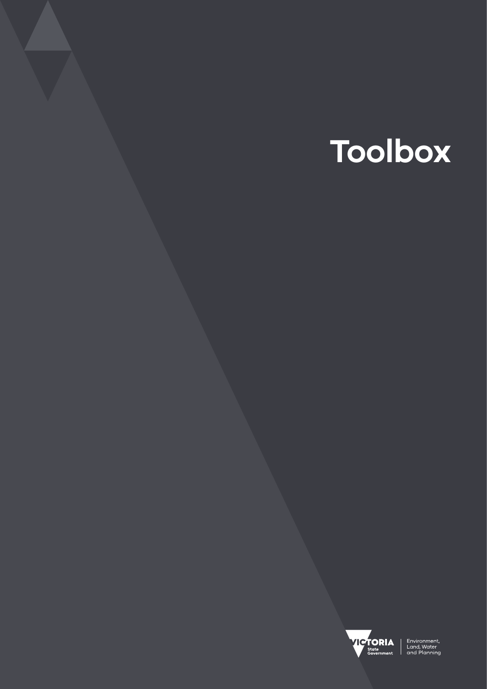# **Toolbox**



Environment,<br>Land, Water<br>and Planning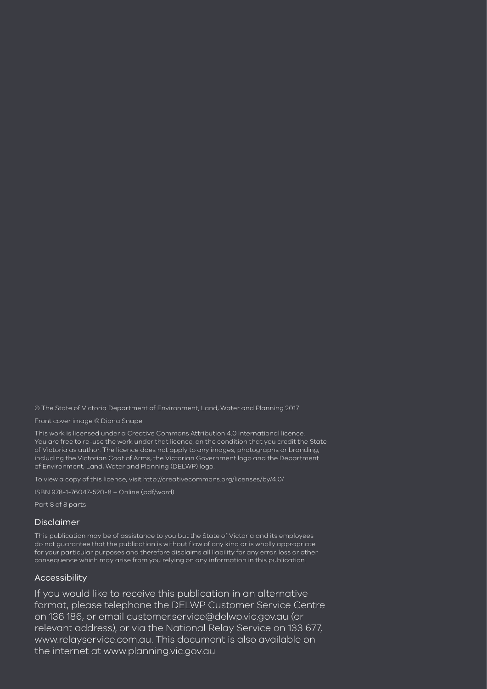© The State of Victoria Department of Environment, Land, Water and Planning 2017

Front cover image © Diana Snape.

This work is licensed under a Creative Commons Attribution 4.0 International licence. You are free to re-use the work under that licence, on the condition that you credit the State of Victoria as author. The licence does not apply to any images, photographs or branding, including the Victorian Coat of Arms, the Victorian Government logo and the Department of Environment, Land, Water and Planning (DELWP) logo.

To view a copy of this licence, visit<http://creativecommons.org/licenses/by/4.0/>

ISBN 978-1-76047-520-8 – Online (pdf/word)

Part 8 of 8 parts

#### Disclaimer

This publication may be of assistance to you but the State of Victoria and its employees do not guarantee that the publication is without flaw of any kind or is wholly appropriate for your particular purposes and therefore disclaims all liability for any error, loss or other consequence which may arise from you relying on any information in this publication.

#### Accessibility

If you would like to receive this publication in an alternative format, please telephone the DELWP Customer Service Centre on 136 186, or email <customer.service@delwp.vic.gov.au>(or relevant address), or via the National Relay Service on 133 677, <www.relayservice.com.au>. This document is also available on the internet at <www.planning.vic.gov.au>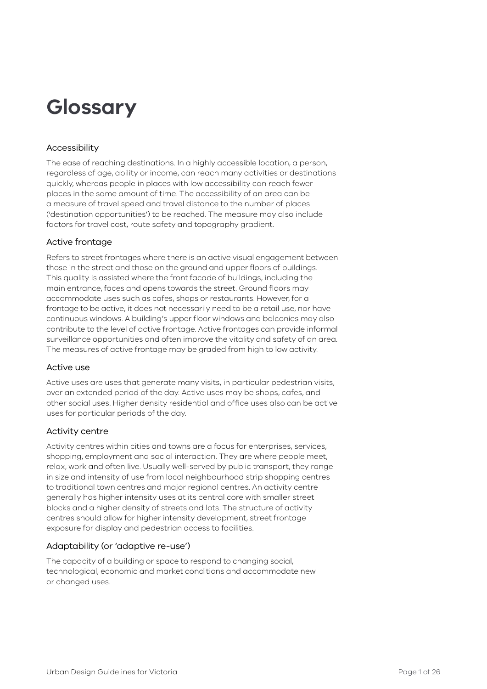# **Glossary**

#### Accessibility

The ease of reaching destinations. In a highly accessible location, a person, regardless of age, ability or income, can reach many activities or destinations quickly, whereas people in places with low accessibility can reach fewer places in the same amount of time. The accessibility of an area can be a measure of travel speed and travel distance to the number of places ('destination opportunities') to be reached. The measure may also include factors for travel cost, route safety and topography gradient.

#### Active frontage

Refers to street frontages where there is an active visual engagement between those in the street and those on the ground and upper floors of buildings. This quality is assisted where the front facade of buildings, including the main entrance, faces and opens towards the street. Ground floors may accommodate uses such as cafes, shops or restaurants. However, for a frontage to be active, it does not necessarily need to be a retail use, nor have continuous windows. A building's upper floor windows and balconies may also contribute to the level of active frontage. Active frontages can provide informal surveillance opportunities and often improve the vitality and safety of an area. The measures of active frontage may be graded from high to low activity.

#### Active use

Active uses are uses that generate many visits, in particular pedestrian visits, over an extended period of the day. Active uses may be shops, cafes, and other social uses. Higher density residential and office uses also can be active uses for particular periods of the day.

#### Activity centre

Activity centres within cities and towns are a focus for enterprises, services, shopping, employment and social interaction. They are where people meet, relax, work and often live. Usually well-served by public transport, they range in size and intensity of use from local neighbourhood strip shopping centres to traditional town centres and major regional centres. An activity centre generally has higher intensity uses at its central core with smaller street blocks and a higher density of streets and lots. The structure of activity centres should allow for higher intensity development, street frontage exposure for display and pedestrian access to facilities.

#### Adaptability (or 'adaptive re-use')

The capacity of a building or space to respond to changing social, technological, economic and market conditions and accommodate new or changed uses.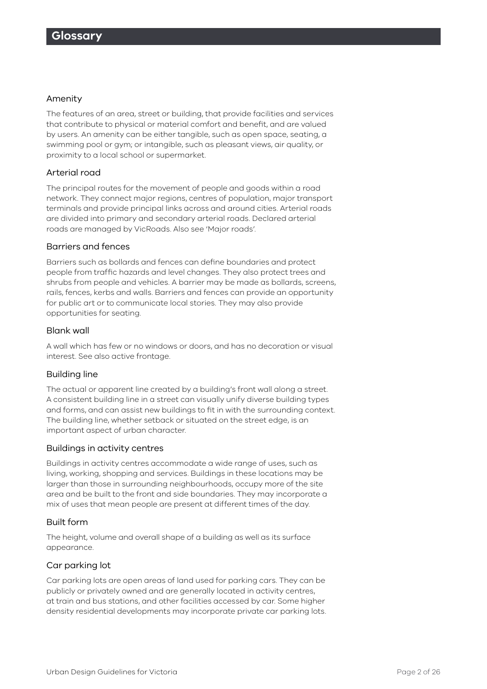#### Amenity

The features of an area, street or building, that provide facilities and services that contribute to physical or material comfort and benefit, and are valued by users. An amenity can be either tangible, such as open space, seating, a swimming pool or gym; or intangible, such as pleasant views, air quality, or proximity to a local school or supermarket.

#### Arterial road

The principal routes for the movement of people and goods within a road network. They connect major regions, centres of population, major transport terminals and provide principal links across and around cities. Arterial roads are divided into primary and secondary arterial roads. Declared arterial roads are managed by VicRoads. Also see 'Major roads'.

#### Barriers and fences

Barriers such as bollards and fences can define boundaries and protect people from traffic hazards and level changes. They also protect trees and shrubs from people and vehicles. A barrier may be made as bollards, screens, rails, fences, kerbs and walls. Barriers and fences can provide an opportunity for public art or to communicate local stories. They may also provide opportunities for seating.

#### Blank wall

A wall which has few or no windows or doors, and has no decoration or visual interest. See also active frontage.

#### Building line

The actual or apparent line created by a building's front wall along a street. A consistent building line in a street can visually unify diverse building types and forms, and can assist new buildings to fit in with the surrounding context. The building line, whether setback or situated on the street edge, is an important aspect of urban character.

#### Buildings in activity centres

Buildings in activity centres accommodate a wide range of uses, such as living, working, shopping and services. Buildings in these locations may be larger than those in surrounding neighbourhoods, occupy more of the site area and be built to the front and side boundaries. They may incorporate a mix of uses that mean people are present at different times of the day.

#### Built form

The height, volume and overall shape of a building as well as its surface appearance.

#### Car parking lot

Car parking lots are open areas of land used for parking cars. They can be publicly or privately owned and are generally located in activity centres, at train and bus stations, and other facilities accessed by car. Some higher density residential developments may incorporate private car parking lots.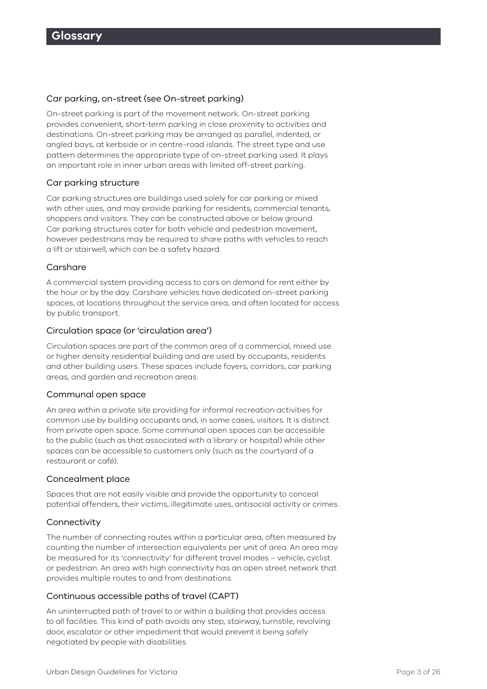#### Car parking, on-street (see On-street parking)

On-street parking is part of the movement network. On-street parking provides convenient, short-term parking in close proximity to activities and destinations. On-street parking may be arranged as parallel, indented, or angled bays, at kerbside or in centre-road islands. The street type and use pattern determines the appropriate type of on-street parking used. It plays an important role in inner urban areas with limited off-street parking.

#### Car parking structure

Car parking structures are buildings used solely for car parking or mixed with other uses, and may provide parking for residents, commercial tenants, shoppers and visitors. They can be constructed above or below ground. Car parking structures cater for both vehicle and pedestrian movement, however pedestrians may be required to share paths with vehicles to reach a lift or stairwell, which can be a safety hazard.

#### Carshare

A commercial system providing access to cars on demand for rent either by the hour or by the day. Carshare vehicles have dedicated on-street parking spaces, at locations throughout the service area, and often located for access by public transport.

#### Circulation space (or 'circulation area')

Circulation spaces are part of the common area of a commercial, mixed use or higher density residential building and are used by occupants, residents and other building users. These spaces include foyers, corridors, car parking areas, and garden and recreation areas.

#### Communal open space

An area within a private site providing for informal recreation activities for common use by building occupants and, in some cases, visitors. It is distinct from private open space. Some communal open spaces can be accessible to the public (such as that associated with a library or hospital) while other spaces can be accessible to customers only (such as the courtyard of a restaurant or café).

#### Concealment place

Spaces that are not easily visible and provide the opportunity to conceal potential offenders, their victims, illegitimate uses, antisocial activity or crimes.

#### Connectivity

The number of connecting routes within a particular area, often measured by counting the number of intersection equivalents per unit of area. An area may be measured for its 'connectivity' for different travel modes – vehicle, cyclist or pedestrian. An area with high connectivity has an open street network that provides multiple routes to and from destinations.

#### Continuous accessible paths of travel (CAPT)

An uninterrupted path of travel to or within a building that provides access to all facilities. This kind of path avoids any step, stairway, turnstile, revolving door, escalator or other impediment that would prevent it being safely negotiated by people with disabilities.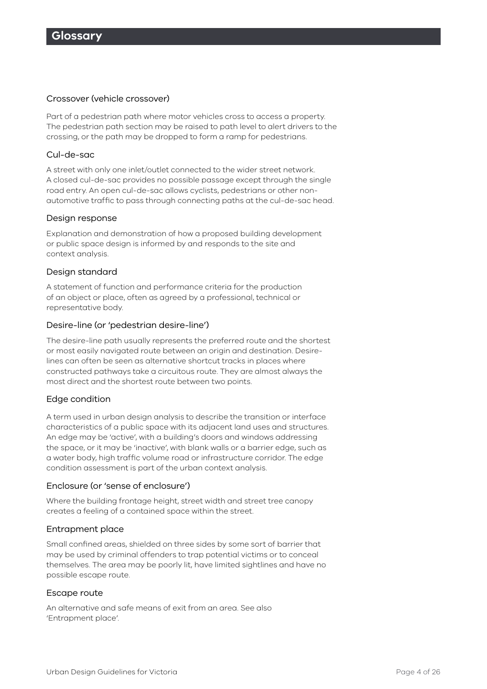#### Crossover (vehicle crossover)

Part of a pedestrian path where motor vehicles cross to access a property. The pedestrian path section may be raised to path level to alert drivers to the crossing, or the path may be dropped to form a ramp for pedestrians.

#### Cul-de-sac

A street with only one inlet/outlet connected to the wider street network. A closed cul-de-sac provides no possible passage except through the single road entry. An open cul-de-sac allows cyclists, pedestrians or other nonautomotive traffic to pass through connecting paths at the cul-de-sac head.

#### Design response

Explanation and demonstration of how a proposed building development or public space design is informed by and responds to the site and context analysis.

#### Design standard

A statement of function and performance criteria for the production of an object or place, often as agreed by a professional, technical or representative body.

#### Desire-line (or 'pedestrian desire-line')

The desire-line path usually represents the preferred route and the shortest or most easily navigated route between an origin and destination. Desirelines can often be seen as alternative shortcut tracks in places where constructed pathways take a circuitous route. They are almost always the most direct and the shortest route between two points.

#### Edge condition

A term used in urban design analysis to describe the transition or interface characteristics of a public space with its adjacent land uses and structures. An edge may be 'active', with a building's doors and windows addressing the space, or it may be 'inactive', with blank walls or a barrier edge, such as a water body, high traffic volume road or infrastructure corridor. The edge condition assessment is part of the urban context analysis.

#### Enclosure (or 'sense of enclosure')

Where the building frontage height, street width and street tree canopy creates a feeling of a contained space within the street.

#### Entrapment place

Small confined areas, shielded on three sides by some sort of barrier that may be used by criminal offenders to trap potential victims or to conceal themselves. The area may be poorly lit, have limited sightlines and have no possible escape route.

#### Escape route

An alternative and safe means of exit from an area. See also 'Entrapment place'.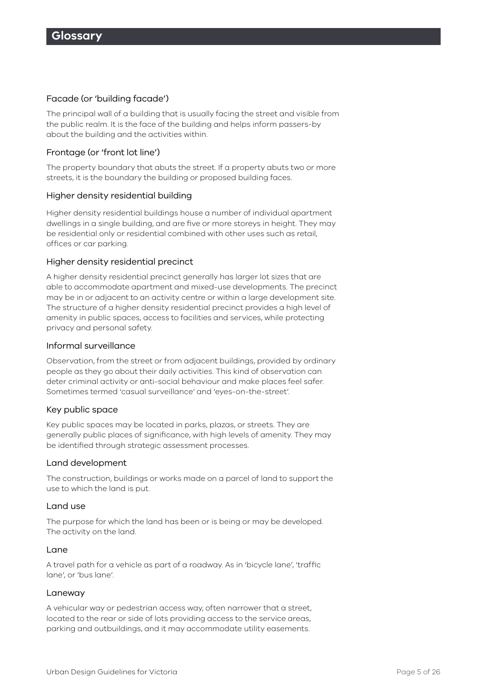#### Facade (or 'building facade')

The principal wall of a building that is usually facing the street and visible from the public realm. It is the face of the building and helps inform passers-by about the building and the activities within.

#### Frontage (or 'front lot line')

The property boundary that abuts the street. If a property abuts two or more streets, it is the boundary the building or proposed building faces.

#### Higher density residential building

Higher density residential buildings house a number of individual apartment dwellings in a single building, and are five or more storeys in height. They may be residential only or residential combined with other uses such as retail, offices or car parking.

#### Higher density residential precinct

A higher density residential precinct generally has larger lot sizes that are able to accommodate apartment and mixed-use developments. The precinct may be in or adjacent to an activity centre or within a large development site. The structure of a higher density residential precinct provides a high level of amenity in public spaces, access to facilities and services, while protecting privacy and personal safety.

#### Informal surveillance

Observation, from the street or from adjacent buildings, provided by ordinary people as they go about their daily activities. This kind of observation can deter criminal activity or anti-social behaviour and make places feel safer. Sometimes termed 'casual surveillance' and 'eyes-on-the-street'.

#### Key public space

Key public spaces may be located in parks, plazas, or streets. They are generally public places of significance, with high levels of amenity. They may be identified through strategic assessment processes.

#### Land development

The construction, buildings or works made on a parcel of land to support the use to which the land is put.

#### Land use

The purpose for which the land has been or is being or may be developed. The activity on the land.

#### Lane

A travel path for a vehicle as part of a roadway. As in 'bicycle lane', 'traffic lane', or 'bus lane'.

#### Laneway

A vehicular way or pedestrian access way, often narrower that a street, located to the rear or side of lots providing access to the service areas, parking and outbuildings, and it may accommodate utility easements.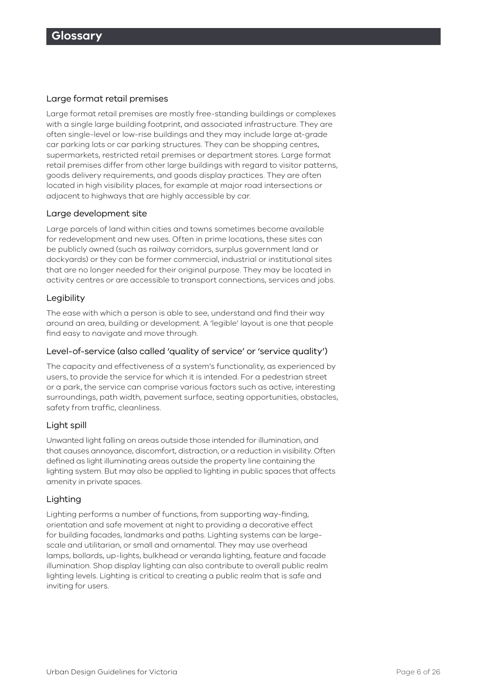#### Large format retail premises

Large format retail premises are mostly free-standing buildings or complexes with a single large building footprint, and associated infrastructure. They are often single-level or low-rise buildings and they may include large at-grade car parking lots or car parking structures. They can be shopping centres, supermarkets, restricted retail premises or department stores. Large format retail premises differ from other large buildings with regard to visitor patterns, goods delivery requirements, and goods display practices. They are often located in high visibility places, for example at major road intersections or adjacent to highways that are highly accessible by car.

#### Large development site

Large parcels of land within cities and towns sometimes become available for redevelopment and new uses. Often in prime locations, these sites can be publicly owned (such as railway corridors, surplus government land or dockyards) or they can be former commercial, industrial or institutional sites that are no longer needed for their original purpose. They may be located in activity centres or are accessible to transport connections, services and jobs.

#### Legibility

The ease with which a person is able to see, understand and find their way around an area, building or development. A 'legible' layout is one that people find easy to navigate and move through.

#### Level-of-service (also called 'quality of service' or 'service quality')

The capacity and effectiveness of a system's functionality, as experienced by users, to provide the service for which it is intended. For a pedestrian street or a park, the service can comprise various factors such as active, interesting surroundings, path width, pavement surface, seating opportunities, obstacles, safety from traffic, cleanliness.

#### Light spill

Unwanted light falling on areas outside those intended for illumination, and that causes annoyance, discomfort, distraction, or a reduction in visibility. Often defined as light illuminating areas outside the property line containing the lighting system. But may also be applied to lighting in public spaces that affects amenity in private spaces.

#### Lighting

Lighting performs a number of functions, from supporting way-finding, orientation and safe movement at night to providing a decorative effect for building facades, landmarks and paths. Lighting systems can be largescale and utilitarian, or small and ornamental. They may use overhead lamps, bollards, up-lights, bulkhead or veranda lighting, feature and facade illumination. Shop display lighting can also contribute to overall public realm lighting levels. Lighting is critical to creating a public realm that is safe and inviting for users.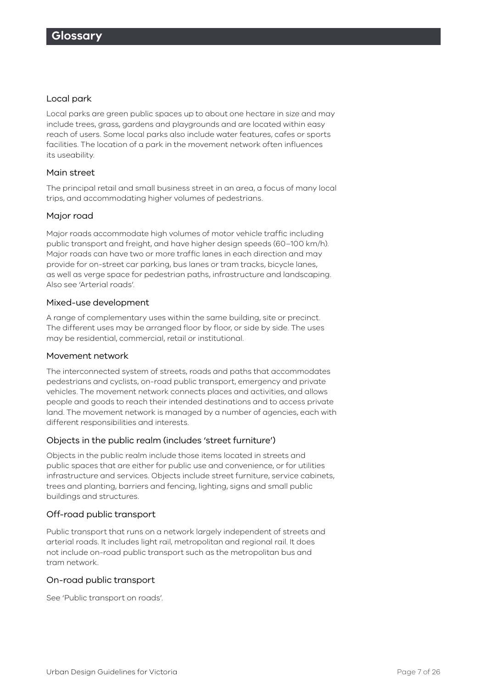#### Local park

Local parks are green public spaces up to about one hectare in size and may include trees, grass, gardens and playgrounds and are located within easy reach of users. Some local parks also include water features, cafes or sports facilities. The location of a park in the movement network often influences its useability.

#### Main street

The principal retail and small business street in an area, a focus of many local trips, and accommodating higher volumes of pedestrians.

#### Major road

Major roads accommodate high volumes of motor vehicle traffic including public transport and freight, and have higher design speeds (60–100 km/h). Major roads can have two or more traffic lanes in each direction and may provide for on-street car parking, bus lanes or tram tracks, bicycle lanes, as well as verge space for pedestrian paths, infrastructure and landscaping. Also see 'Arterial roads'.

#### Mixed-use development

A range of complementary uses within the same building, site or precinct. The different uses may be arranged floor by floor, or side by side. The uses may be residential, commercial, retail or institutional.

#### Movement network

The interconnected system of streets, roads and paths that accommodates pedestrians and cyclists, on-road public transport, emergency and private vehicles. The movement network connects places and activities, and allows people and goods to reach their intended destinations and to access private land. The movement network is managed by a number of agencies, each with different responsibilities and interests.

#### Objects in the public realm (includes 'street furniture')

Objects in the public realm include those items located in streets and public spaces that are either for public use and convenience, or for utilities infrastructure and services. Objects include street furniture, service cabinets, trees and planting, barriers and fencing, lighting, signs and small public buildings and structures.

#### Off-road public transport

Public transport that runs on a network largely independent of streets and arterial roads. It includes light rail, metropolitan and regional rail. It does not include on-road public transport such as the metropolitan bus and tram network.

#### On-road public transport

See 'Public transport on roads'.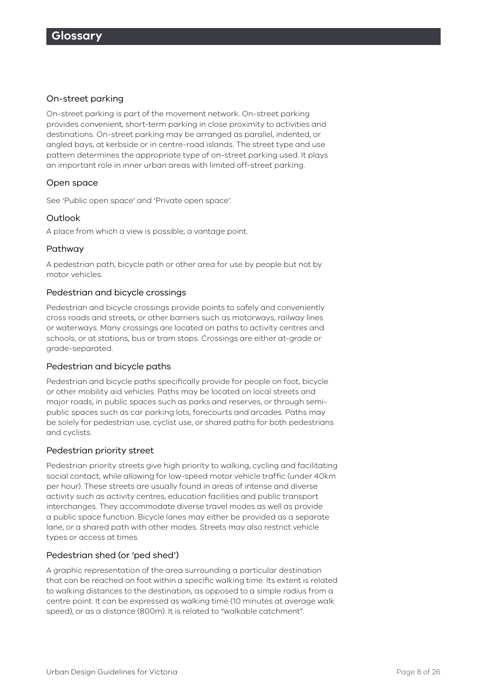#### On-street parking

On-street parking is part of the movement network. On-street parking provides convenient, short-term parking in close proximity to activities and destinations. On-street parking may be arranged as parallel, indented, or angled bays, at kerbside or in centre-road islands. The street type and use pattern determines the appropriate type of on-street parking used. It plays an important role in inner urban areas with limited off-street parking.

#### Open space

See 'Public open space' and 'Private open space'.

#### **Outlook**

A place from which a view is possible; a vantage point.

#### Pathway

A pedestrian path, bicycle path or other area for use by people but not by motor vehicles.

#### Pedestrian and bicycle crossings

Pedestrian and bicycle crossings provide points to safely and conveniently cross roads and streets, or other barriers such as motorways, railway lines or waterways. Many crossings are located on paths to activity centres and schools, or at stations, bus or tram stops. Crossings are either at-grade or grade-separated.

#### Pedestrian and bicycle paths

Pedestrian and bicycle paths specifically provide for people on foot, bicycle or other mobility aid vehicles. Paths may be located on local streets and major roads, in public spaces such as parks and reserves, or through semipublic spaces such as car parking lots, forecourts and arcades. Paths may be solely for pedestrian use, cyclist use, or shared paths for both pedestrians and cyclists.

#### Pedestrian priority street

Pedestrian priority streets give high priority to walking, cycling and facilitating social contact, while allowing for low-speed motor vehicle traffic (under 40km per hour). These streets are usually found in areas of intense and diverse activity such as activity centres, education facilities and public transport interchanges. They accommodate diverse travel modes as well as provide a public space function. Bicycle lanes may either be provided as a separate lane, or a shared path with other modes. Streets may also restrict vehicle types or access at times.

#### Pedestrian shed (or 'ped shed')

A graphic representation of the area surrounding a particular destination that can be reached on foot within a specific walking time. Its extent is related to walking distances to the destination, as opposed to a simple radius from a centre point. It can be expressed as walking time (10 minutes at average walk speed), or as a distance (800m). It is related to "walkable catchment".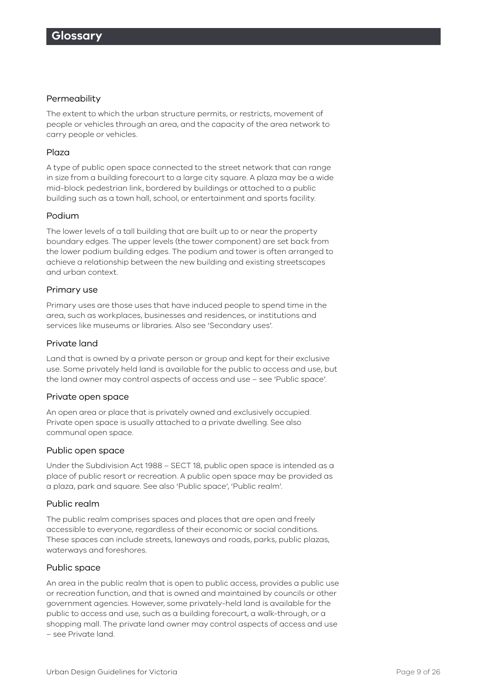#### Permeability

The extent to which the urban structure permits, or restricts, movement of people or vehicles through an area, and the capacity of the area network to carry people or vehicles.

#### Plaza

A type of public open space connected to the street network that can range in size from a building forecourt to a large city square. A plaza may be a wide mid-block pedestrian link, bordered by buildings or attached to a public building such as a town hall, school, or entertainment and sports facility.

#### Podium

The lower levels of a tall building that are built up to or near the property boundary edges. The upper levels (the tower component) are set back from the lower podium building edges. The podium and tower is often arranged to achieve a relationship between the new building and existing streetscapes and urban context.

#### Primary use

Primary uses are those uses that have induced people to spend time in the area, such as workplaces, businesses and residences, or institutions and services like museums or libraries. Also see 'Secondary uses'.

#### Private land

Land that is owned by a private person or group and kept for their exclusive use. Some privately held land is available for the public to access and use, but the land owner may control aspects of access and use – see 'Public space'.

#### Private open space

An open area or place that is privately owned and exclusively occupied. Private open space is usually attached to a private dwelling. See also communal open space.

#### Public open space

Under the Subdivision Act 1988 – SECT 18, public open space is intended as a place of public resort or recreation. A public open space may be provided as a plaza, park and square. See also 'Public space', 'Public realm'.

#### Public realm

The public realm comprises spaces and places that are open and freely accessible to everyone, regardless of their economic or social conditions. These spaces can include streets, laneways and roads, parks, public plazas, waterways and foreshores.

#### Public space

An area in the public realm that is open to public access, provides a public use or recreation function, and that is owned and maintained by councils or other government agencies. However, some privately-held land is available for the public to access and use, such as a building forecourt, a walk-through, or a shopping mall. The private land owner may control aspects of access and use – see Private land.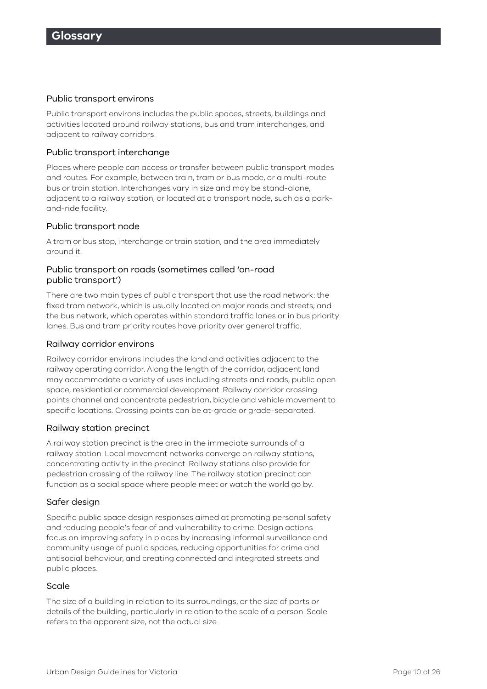#### Public transport environs

Public transport environs includes the public spaces, streets, buildings and activities located around railway stations, bus and tram interchanges, and adjacent to railway corridors.

#### Public transport interchange

Places where people can access or transfer between public transport modes and routes. For example, between train, tram or bus mode, or a multi-route bus or train station. Interchanges vary in size and may be stand-alone, adjacent to a railway station, or located at a transport node, such as a parkand-ride facility.

#### Public transport node

A tram or bus stop, interchange or train station, and the area immediately around it.

#### Public transport on roads (sometimes called 'on-road public transport')

There are two main types of public transport that use the road network: the fixed tram network, which is usually located on major roads and streets; and the bus network, which operates within standard traffic lanes or in bus priority lanes. Bus and tram priority routes have priority over general traffic.

#### Railway corridor environs

Railway corridor environs includes the land and activities adjacent to the railway operating corridor. Along the length of the corridor, adjacent land may accommodate a variety of uses including streets and roads, public open space, residential or commercial development. Railway corridor crossing points channel and concentrate pedestrian, bicycle and vehicle movement to specific locations. Crossing points can be at-grade or grade-separated.

#### Railway station precinct

A railway station precinct is the area in the immediate surrounds of a railway station. Local movement networks converge on railway stations, concentrating activity in the precinct. Railway stations also provide for pedestrian crossing of the railway line. The railway station precinct can function as a social space where people meet or watch the world go by.

#### Safer design

Specific public space design responses aimed at promoting personal safety and reducing people's fear of and vulnerability to crime. Design actions focus on improving safety in places by increasing informal surveillance and community usage of public spaces, reducing opportunities for crime and antisocial behaviour, and creating connected and integrated streets and public places.

#### Scale

The size of a building in relation to its surroundings, or the size of parts or details of the building, particularly in relation to the scale of a person. Scale refers to the apparent size, not the actual size.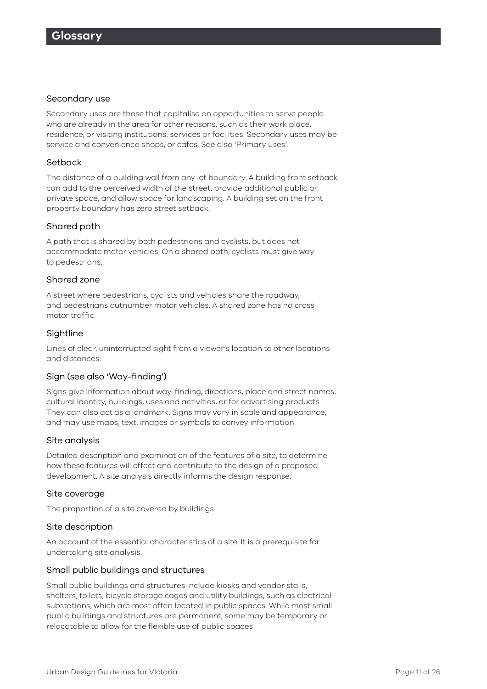#### Secondary use

Secondary uses are those that capitalise on opportunities to serve people who are already in the area for other reasons, such as their work place, residence, or visiting institutions, services or facilities. Secondary uses may be service and convenience shops, or cafes. See also 'Primary uses'.

#### Setback

The distance of a building wall from any lot boundary. A building front setback can add to the perceived width of the street, provide additional public or private space, and allow space for landscaping. A building set on the front property boundary has zero street setback.

#### Shared path

A path that is shared by both pedestrians and cyclists, but does not accommodate motor vehicles. On a shared path, cyclists must give way to pedestrians.

#### Shared zone

A street where pedestrians, cyclists and vehicles share the roadway, and pedestrians outnumber motor vehicles. A shared zone has no cross motor traffic.

#### Sightline

Lines of clear, uninterrupted sight from a viewer's location to other locations and distances.

#### Sign (see also 'Way-finding')

Signs give information about way-finding, directions, place and street names, cultural identity, buildings, uses and activities, or for advertising products. They can also act as a landmark. Signs may vary in scale and appearance, and may use maps, text, images or symbols to convey information

#### Site analysis

Detailed description and examination of the features of a site, to determine how these features will effect and contribute to the design of a proposed development. A site analysis directly informs the design response.

#### Site coverage

The proportion of a site covered by buildings.

#### Site description

An account of the essential characteristics of a site. It is a prerequisite for undertaking site analysis.

#### Small public buildings and structures

Small public buildings and structures include kiosks and vendor stalls, shelters, toilets, bicycle storage cages and utility buildings, such as electrical substations, which are most often located in public spaces. While most small public buildings and structures are permanent, some may be temporary or relocatable to allow for the flexible use of public spaces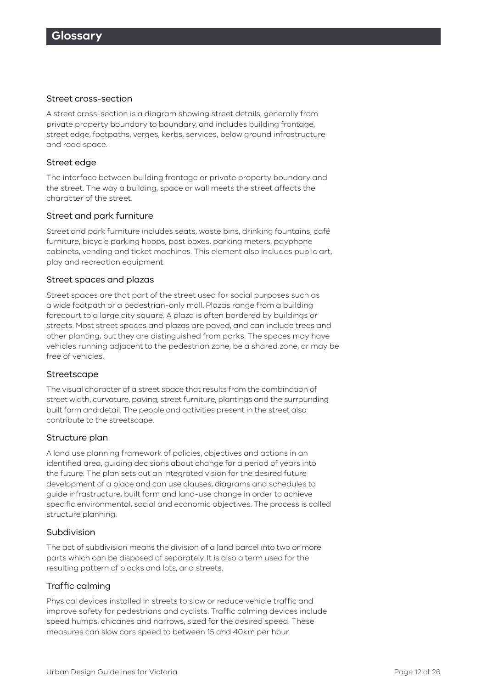#### Street cross-section

A street cross-section is a diagram showing street details, generally from private property boundary to boundary, and includes building frontage, street edge, footpaths, verges, kerbs, services, below ground infrastructure and road space.

#### Street edge

The interface between building frontage or private property boundary and the street. The way a building, space or wall meets the street affects the character of the street.

#### Street and park furniture

Street and park furniture includes seats, waste bins, drinking fountains, café furniture, bicycle parking hoops, post boxes, parking meters, payphone cabinets, vending and ticket machines. This element also includes public art, play and recreation equipment.

#### Street spaces and plazas

Street spaces are that part of the street used for social purposes such as a wide footpath or a pedestrian-only mall. Plazas range from a building forecourt to a large city square. A plaza is often bordered by buildings or streets. Most street spaces and plazas are paved, and can include trees and other planting, but they are distinguished from parks. The spaces may have vehicles running adjacent to the pedestrian zone, be a shared zone, or may be free of vehicles.

#### **Streetscape**

The visual character of a street space that results from the combination of street width, curvature, paving, street furniture, plantings and the surrounding built form and detail. The people and activities present in the street also contribute to the streetscape.

#### Structure plan

A land use planning framework of policies, objectives and actions in an identified area, guiding decisions about change for a period of years into the future. The plan sets out an integrated vision for the desired future development of a place and can use clauses, diagrams and schedules to guide infrastructure, built form and land-use change in order to achieve specific environmental, social and economic objectives. The process is called structure planning.

#### Subdivision

The act of subdivision means the division of a land parcel into two or more parts which can be disposed of separately. It is also a term used for the resulting pattern of blocks and lots, and streets.

#### Traffic calming

Physical devices installed in streets to slow or reduce vehicle traffic and improve safety for pedestrians and cyclists. Traffic calming devices include speed humps, chicanes and narrows, sized for the desired speed. These measures can slow cars speed to between 15 and 40km per hour.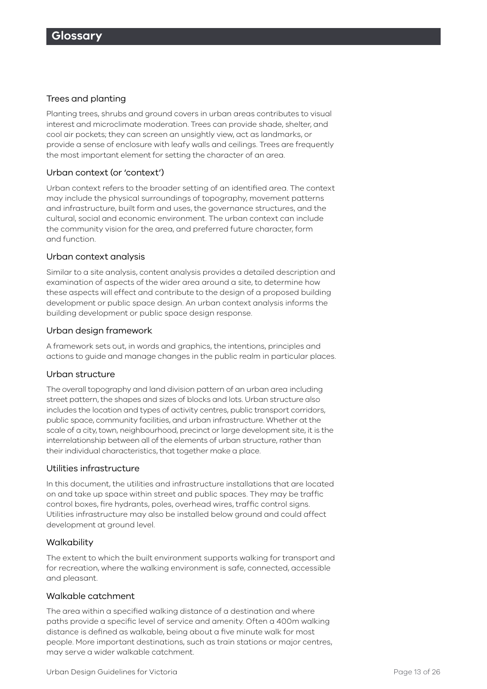#### Trees and planting

Planting trees, shrubs and ground covers in urban areas contributes to visual interest and microclimate moderation. Trees can provide shade, shelter, and cool air pockets; they can screen an unsightly view, act as landmarks, or provide a sense of enclosure with leafy walls and ceilings. Trees are frequently the most important element for setting the character of an area.

#### Urban context (or 'context')

Urban context refers to the broader setting of an identified area. The context may include the physical surroundings of topography, movement patterns and infrastructure, built form and uses, the governance structures, and the cultural, social and economic environment. The urban context can include the community vision for the area, and preferred future character, form and function.

#### Urban context analysis

Similar to a site analysis, content analysis provides a detailed description and examination of aspects of the wider area around a site, to determine how these aspects will effect and contribute to the design of a proposed building development or public space design. An urban context analysis informs the building development or public space design response.

#### Urban design framework

A framework sets out, in words and graphics, the intentions, principles and actions to guide and manage changes in the public realm in particular places.

#### Urban structure

The overall topography and land division pattern of an urban area including street pattern, the shapes and sizes of blocks and lots. Urban structure also includes the location and types of activity centres, public transport corridors, public space, community facilities, and urban infrastructure. Whether at the scale of a city, town, neighbourhood, precinct or large development site, it is the interrelationship between all of the elements of urban structure, rather than their individual characteristics, that together make a place.

#### Utilities infrastructure

In this document, the utilities and infrastructure installations that are located on and take up space within street and public spaces. They may be traffic control boxes, fire hydrants, poles, overhead wires, traffic control signs. Utilities infrastructure may also be installed below ground and could affect development at ground level.

#### **Walkability**

The extent to which the built environment supports walking for transport and for recreation, where the walking environment is safe, connected, accessible and pleasant.

#### Walkable catchment

The area within a specified walking distance of a destination and where paths provide a specific level of service and amenity. Often a 400m walking distance is defined as walkable, being about a five minute walk for most people. More important destinations, such as train stations or major centres, may serve a wider walkable catchment.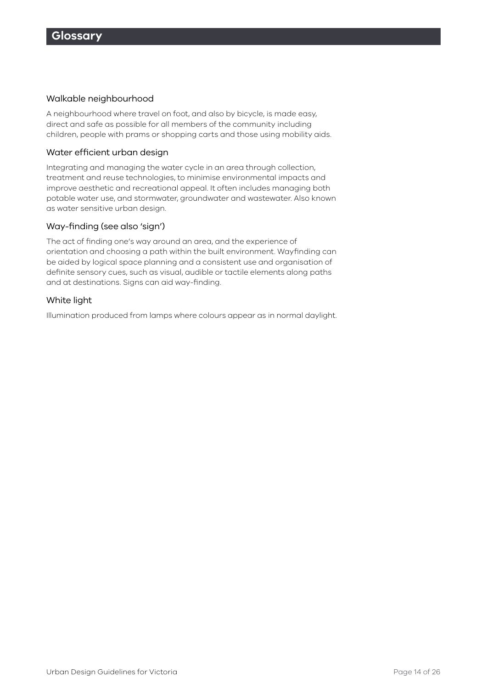#### Walkable neighbourhood

A neighbourhood where travel on foot, and also by bicycle, is made easy, direct and safe as possible for all members of the community including children, people with prams or shopping carts and those using mobility aids.

#### Water efficient urban design

Integrating and managing the water cycle in an area through collection, treatment and reuse technologies, to minimise environmental impacts and improve aesthetic and recreational appeal. It often includes managing both potable water use, and stormwater, groundwater and wastewater. Also known as water sensitive urban design.

#### Way-finding (see also 'sign')

The act of finding one's way around an area, and the experience of orientation and choosing a path within the built environment. Wayfinding can be aided by logical space planning and a consistent use and organisation of definite sensory cues, such as visual, audible or tactile elements along paths and at destinations. Signs can aid way-finding.

#### White light

Illumination produced from lamps where colours appear as in normal daylight.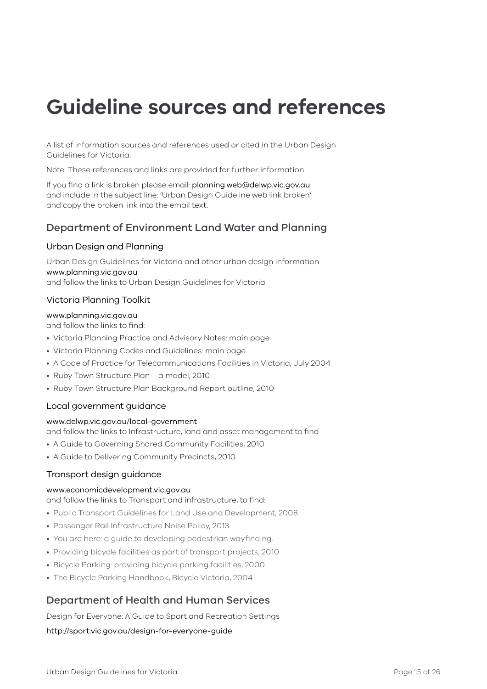# **Guideline sources and references**

A list of information sources and references used or cited in the Urban Design Guidelines for Victoria.

Note: These references and links are provided for further information.

If you find a link is broken please email: [planning.web@delwp.vic.gov.au](mailto:planning.web%40delwp.vic.gov.au?subject=) and include in the subject line: 'Urban Design Guideline web link broken' and copy the broken link into the email text.

### Department of Environment Land Water and Planning

#### Urban Design and Planning

Urban Design Guidelines for Victoria and other urban design information <www.planning.vic.gov.au> and follow the links to Urban Design Guidelines for Victoria

#### Victoria Planning Toolkit

#### <www.planning.vic.gov.au>

and follow the links to find:

- Victoria Planning Practice and Advisory Notes: main page
- Victoria Planning Codes and Guidelines: main page
- A Code of Practice for Telecommunications Facilities in Victoria, July 2004
- Ruby Town Structure Plan a model, 2010
- Ruby Town Structure Plan Background Report outline, 2010

#### Local government guidance

#### <www.delwp.vic.gov.au/local-government>

and follow the links to Infrastructure, land and asset management to find

- A Guide to Governing Shared Community Facilities, 2010
- A Guide to Delivering Community Precincts, 2010

#### Transport design guidance

#### <www.economicdevelopment.vic.gov.au>

and follow the links to Transport and infrastructure, to find:

- Public Transport Guidelines for Land Use and Development, 2008
- Passenger Rail Infrastructure Noise Policy, 2013
- You are here: a guide to developing pedestrian wayfinding.
- Providing bicycle facilities as part of transport projects, 2010
- Bicycle Parking: providing bicycle parking facilities, 2000
- The Bicycle Parking Handbook, Bicycle Victoria, 2004

### Department of Health and Human Services

Design for Everyone: A Guide to Sport and Recreation Settings

<http://sport.vic.gov.au/design-for-everyone-guide>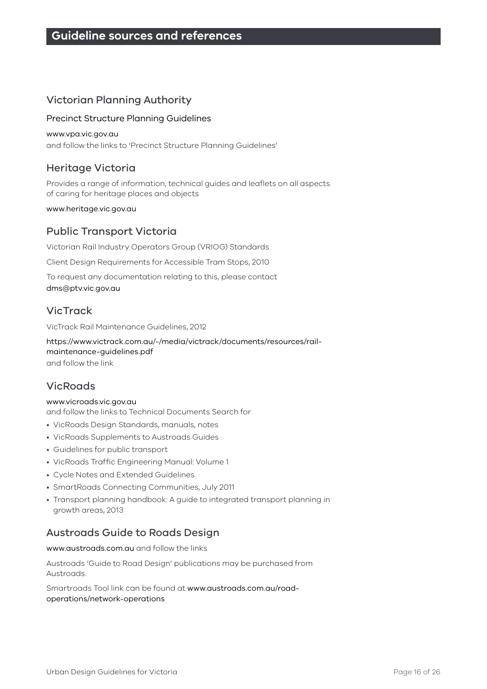# Victorian Planning Authority

#### Precinct Structure Planning Guidelines

#### <www.vpa.vic.gov.au>

and follow the links to 'Precinct Structure Planning Guidelines'

# Heritage Victoria

Provides a range of information, technical guides and leaflets on all aspects of caring for heritage places and objects

<www.heritage.vic.gov.au>

# Public Transport Victoria

Victorian Rail Industry Operators Group (VRIOG) Standards

Client Design Requirements for Accessible Tram Stops, 2010

To request any documentation relating to this, please contact [dms@ptv.vic.gov.au](mailto:dms@ptv.vic.gov.au)

# VicTrack

VicTrack Rail Maintenance Guidelines, 2012

[https://www.victrack.com.au/-/media/victrack/documents/resources/rail](https://www.victrack.com.au/-/media/victrack/documents/resources/rail-maintenance-guidelines.pdf)[maintenance-guidelines.pdf](https://www.victrack.com.au/-/media/victrack/documents/resources/rail-maintenance-guidelines.pdf) and follow the link

# **VicRoads**

#### <www.vicroads.vic.gov.au>

and follow the links to Technical Documents Search for

- VicRoads Design Standards, manuals, notes
- VicRoads Supplements to Austroads Guides
- Guidelines for public transport
- VicRoads Traffic Engineering Manual: Volume 1
- Cycle Notes and Extended Guidelines
- SmartRoads Connecting Communities, July 2011
- Transport planning handbook: A guide to integrated transport planning in growth areas, 2013

# Austroads Guide to Roads Design

<www.austroads.com.au> and follow the links

Austroads 'Guide to Road Design' publications may be purchased from Austroads.

Smartroads Tool link can be found at [www.austroads.com.au/road](www.austroads.com.au/road-operations/network-operations)[operations/network-operations](www.austroads.com.au/road-operations/network-operations)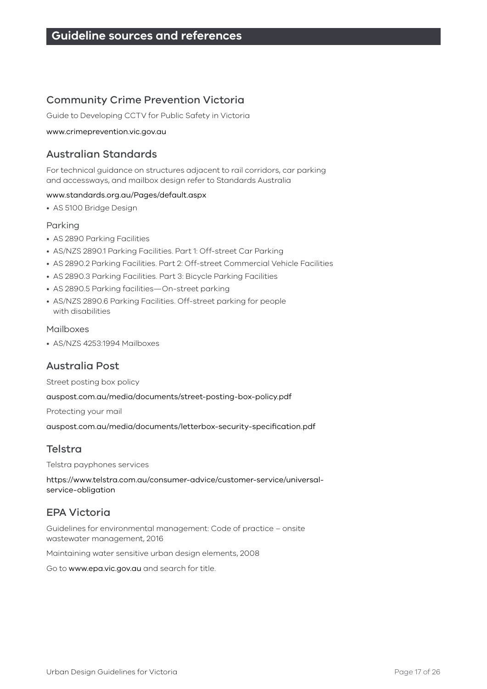# Community Crime Prevention Victoria

Guide to Developing CCTV for Public Safety in Victoria

#### <www.crimeprevention.vic.gov.au>

### Australian Standards

For technical guidance on structures adjacent to rail corridors, car parking and accessways, and mailbox design refer to Standards Australia

#### <www.standards.org.au/Pages/default.aspx>

• AS 5100 Bridge Design

#### Parking

- AS 2890 Parking Facilities
- AS/NZS 2890.1 Parking Facilities. Part 1: Off-street Car Parking
- AS 2890.2 Parking Facilities. Part 2: Off-street Commercial Vehicle Facilities
- AS 2890.3 Parking Facilities. Part 3: Bicycle Parking Facilities
- AS 2890.5 Parking facilities—On-street parking
- AS/NZS 2890.6 Parking Facilities. Off-street parking for people with disabilities

#### Mailboxes

• AS/NZS 4253:1994 Mailboxes

# Australia Post

Street posting box policy

<auspost.com.au/media/documents/street-posting-box-policy.pdf>

Protecting your mail

[auspost.com.au/media/documents/letterbox-security-specification.pdf](http://auspost.com.au/media/documents/letterbox-security-specification.pdf)

# Telstra

Telstra payphones services

https://www.telstra.com.au/consumer-advice/customer-service/universalservice-obligation

# EPA Victoria

Guidelines for environmental management: Code of practice – onsite wastewater management, 2016

Maintaining water sensitive urban design elements, 2008

Go to <www.epa.vic.gov.au> and search for title.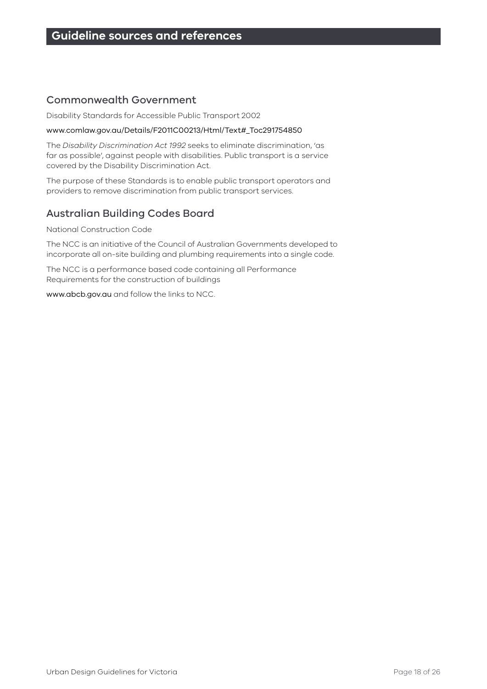### Commonwealth Government

Disability Standards for Accessible Public Transport 2002

#### [www.comlaw.gov.au/Details/F2011C00213/Html/Text#\\_Toc291754850](www.comlaw.gov.au/Details/F2011C00213/Html/Text#_Toc291754850)

The *Disability Discrimination Act 1992* seeks to eliminate discrimination, 'as far as possible', against people with disabilities. Public transport is a service covered by the Disability Discrimination Act.

The purpose of these Standards is to enable public transport operators and providers to remove discrimination from public transport services.

# Australian Building Codes Board

National Construction Code

The NCC is an initiative of the Council of Australian Governments developed to incorporate all on-site building and plumbing requirements into a single code.

The NCC is a performance based code containing all Performance Requirements for the construction of buildings

<www.abcb.gov.au>and follow the links to NCC.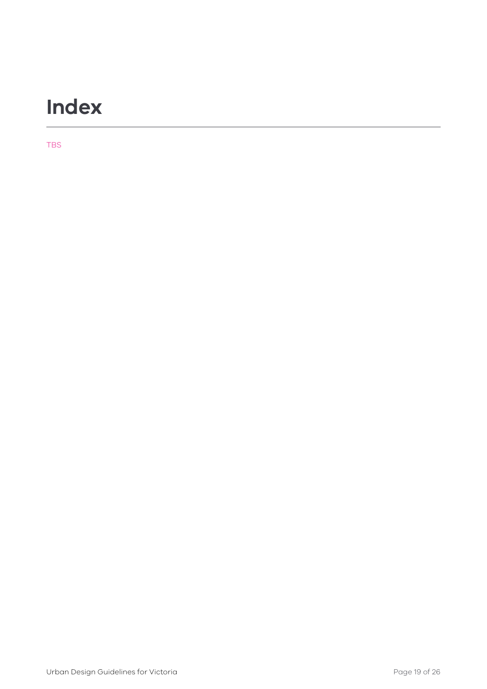# **Index**

TBS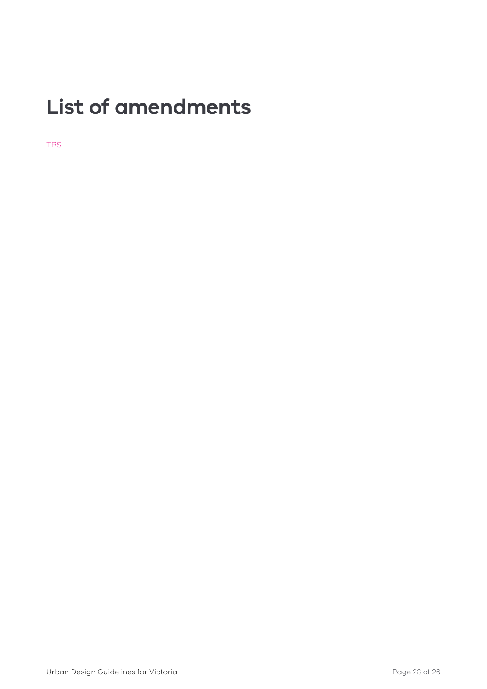# **List of amendments**

TBS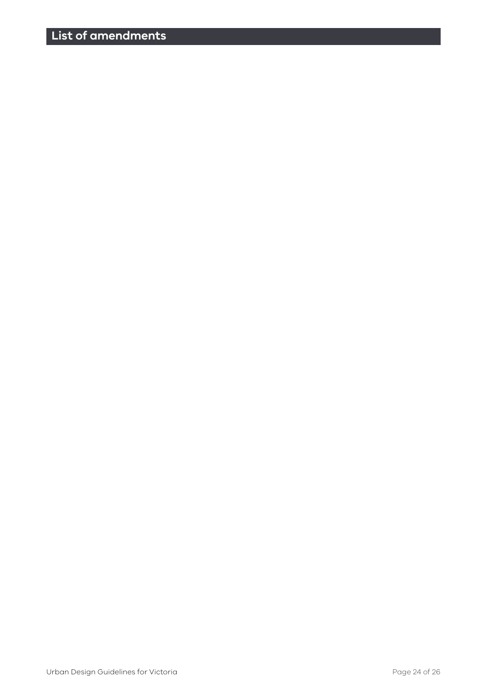# **List of amendments**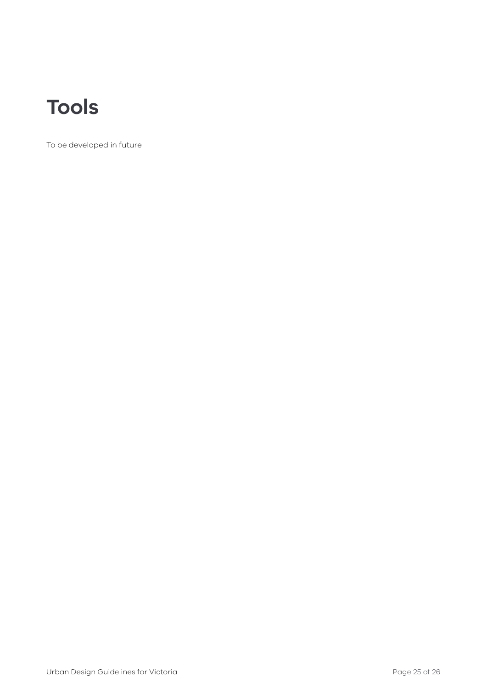# **Tools**

To be developed in future